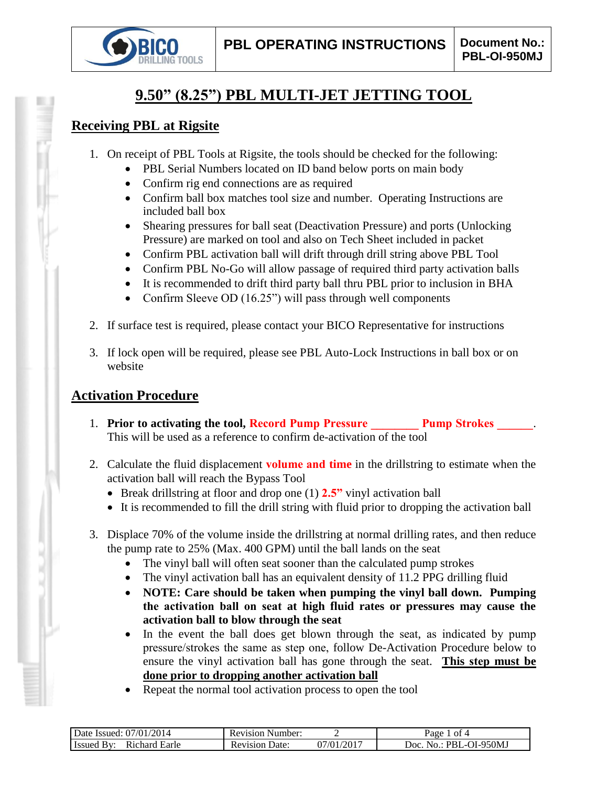

# **9.50" (8.25") PBL MULTI-JET JETTING TOOL**

## **Receiving PBL at Rigsite**

- 1. On receipt of PBL Tools at Rigsite, the tools should be checked for the following:
	- PBL Serial Numbers located on ID band below ports on main body
	- Confirm rig end connections are as required
	- Confirm ball box matches tool size and number. Operating Instructions are included ball box
	- Shearing pressures for ball seat (Deactivation Pressure) and ports (Unlocking Pressure) are marked on tool and also on Tech Sheet included in packet
	- Confirm PBL activation ball will drift through drill string above PBL Tool
	- Confirm PBL No-Go will allow passage of required third party activation balls
	- It is recommended to drift third party ball thru PBL prior to inclusion in BHA
	- Confirm Sleeve OD (16.25") will pass through well components
- 2. If surface test is required, please contact your BICO Representative for instructions
- 3. If lock open will be required, please see PBL Auto-Lock Instructions in ball box or on website

## **Activation Procedure**

- 1. **Prior to activating the tool, Record Pump Pressure Pump Strokes 2014** This will be used as a reference to confirm de-activation of the tool
- 2. Calculate the fluid displacement **volume and time** in the drillstring to estimate when the activation ball will reach the Bypass Tool
	- Break drillstring at floor and drop one (1) **2.5"** vinyl activation ball
	- It is recommended to fill the drill string with fluid prior to dropping the activation ball
- 3. Displace 70% of the volume inside the drillstring at normal drilling rates, and then reduce the pump rate to 25% (Max. 400 GPM) until the ball lands on the seat
	- The vinyl ball will often seat sooner than the calculated pump strokes
	- The vinyl activation ball has an equivalent density of 11.2 PPG drilling fluid
	- **NOTE: Care should be taken when pumping the vinyl ball down. Pumping the activation ball on seat at high fluid rates or pressures may cause the activation ball to blow through the seat**
	- In the event the ball does get blown through the seat, as indicated by pump pressure/strokes the same as step one, follow De-Activation Procedure below to ensure the vinyl activation ball has gone through the seat. **This step must be done prior to dropping another activation ball**
	- Repeat the normal tool activation process to open the tool

| 2014<br>07/01/<br>Date Issued:                        | Number:<br>Revision     |               | ot 4<br>Раое                           |
|-------------------------------------------------------|-------------------------|---------------|----------------------------------------|
| Earle<br>ıchard<br>- Issued<br><b>R</b> <sub>10</sub> | Jate:<br>evision:<br>ĸι | /2017<br>7/01 | OI-950MJ<br>Joc<br>PRI<br>$\mathbf{a}$ |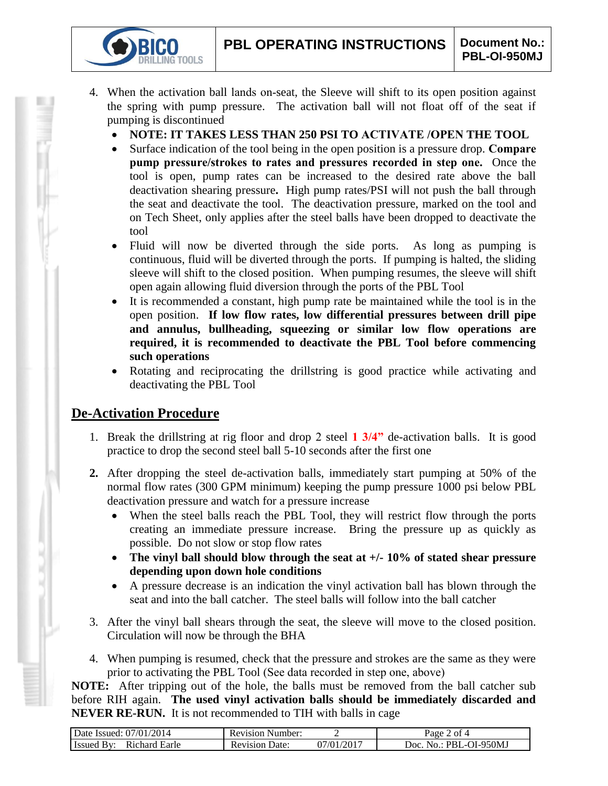- 4. When the activation ball lands on-seat, the Sleeve will shift to its open position against the spring with pump pressure. The activation ball will not float off of the seat if pumping is discontinued
	- **NOTE: IT TAKES LESS THAN 250 PSI TO ACTIVATE /OPEN THE TOOL**
	- Surface indication of the tool being in the open position is a pressure drop. **Compare pump pressure/strokes to rates and pressures recorded in step one.** Once the tool is open, pump rates can be increased to the desired rate above the ball deactivation shearing pressure**.** High pump rates/PSI will not push the ball through the seat and deactivate the tool. The deactivation pressure, marked on the tool and on Tech Sheet, only applies after the steel balls have been dropped to deactivate the tool
	- Fluid will now be diverted through the side ports. As long as pumping is continuous, fluid will be diverted through the ports. If pumping is halted, the sliding sleeve will shift to the closed position. When pumping resumes, the sleeve will shift open again allowing fluid diversion through the ports of the PBL Tool
	- It is recommended a constant, high pump rate be maintained while the tool is in the open position. **If low flow rates, low differential pressures between drill pipe and annulus, bullheading, squeezing or similar low flow operations are required, it is recommended to deactivate the PBL Tool before commencing such operations**
	- Rotating and reciprocating the drillstring is good practice while activating and deactivating the PBL Tool

## **De-Activation Procedure**

**IG TOOLS** 

- 1. Break the drillstring at rig floor and drop 2 steel **1 3/4"** de-activation balls. It is good practice to drop the second steel ball 5-10 seconds after the first one
- **2.** After dropping the steel de-activation balls, immediately start pumping at 50% of the normal flow rates (300 GPM minimum) keeping the pump pressure 1000 psi below PBL deactivation pressure and watch for a pressure increase
	- When the steel balls reach the PBL Tool, they will restrict flow through the ports creating an immediate pressure increase. Bring the pressure up as quickly as possible. Do not slow or stop flow rates
	- **The vinyl ball should blow through the seat at +/- 10% of stated shear pressure depending upon down hole conditions**
	- A pressure decrease is an indication the vinyl activation ball has blown through the seat and into the ball catcher. The steel balls will follow into the ball catcher
- 3. After the vinyl ball shears through the seat, the sleeve will move to the closed position. Circulation will now be through the BHA
- 4. When pumping is resumed, check that the pressure and strokes are the same as they were prior to activating the PBL Tool (See data recorded in step one, above)

**NOTE:** After tripping out of the hole, the balls must be removed from the ball catcher sub before RIH again. **The used vinyl activation balls should be immediately discarded and NEVER RE-RUN.** It is not recommended to TIH with balls in cage

| Date Issued: 07/01/2014 | <b>Revision Number:</b> |                          | of 4<br>Page      |
|-------------------------|-------------------------|--------------------------|-------------------|
| <b>Issued By:</b>       | Date:                   | $1/01/201$ <sup>-1</sup> | No.: PBL-OI-950MJ |
| Richard Earle           | <b>Revision</b>         |                          | loc.              |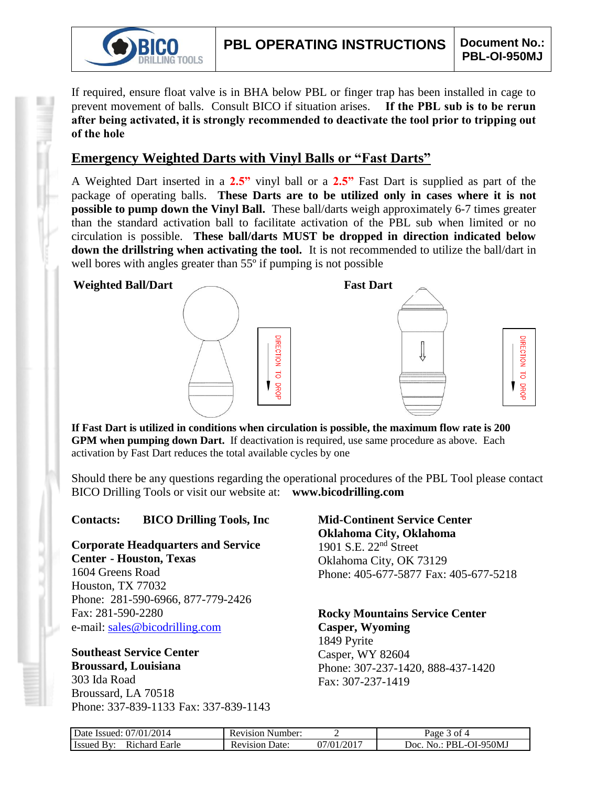

If required, ensure float valve is in BHA below PBL or finger trap has been installed in cage to prevent movement of balls. Consult BICO if situation arises. **If the PBL sub is to be rerun after being activated, it is strongly recommended to deactivate the tool prior to tripping out of the hole**

## **Emergency Weighted Darts with Vinyl Balls or "Fast Darts"**

A Weighted Dart inserted in a **2.5"** vinyl ball or a **2.5"** Fast Dart is supplied as part of the package of operating balls. **These Darts are to be utilized only in cases where it is not possible to pump down the Vinyl Ball.** These ball/darts weigh approximately 6-7 times greater than the standard activation ball to facilitate activation of the PBL sub when limited or no circulation is possible. **These ball/darts MUST be dropped in direction indicated below down the drillstring when activating the tool.** It is not recommended to utilize the ball/dart in well bores with angles greater than 55<sup>°</sup> if pumping is not possible



**If Fast Dart is utilized in conditions when circulation is possible, the maximum flow rate is 200 GPM when pumping down Dart.** If deactivation is required, use same procedure as above. Each activation by Fast Dart reduces the total available cycles by one

Should there be any questions regarding the operational procedures of the PBL Tool please contact BICO Drilling Tools or visit our website at: **www.bicodrilling.com**

### **Contacts: BICO Drilling Tools, Inc**

**Corporate Headquarters and Service Center - Houston, Texas**

1604 Greens Road Houston, TX 77032 Phone: 281-590-6966, 877-779-2426 Fax: 281-590-2280 e-mail: [sales@bicodrilling.com](mailto:sales@bicodrilling.com)

## **Southeast Service Center Broussard, Louisiana**

303 Ida Road Broussard, LA 70518 Phone: 337-839-1133 Fax: 337-839-1143

### **Mid-Continent Service Center Oklahoma City, Oklahoma** 1901 S.E. 22nd Street Oklahoma City, OK 73129 Phone: 405-677-5877 Fax: 405-677-5218

**Rocky Mountains Service Center Casper, Wyoming** 1849 Pyrite Casper, WY 82604 Phone: 307-237-1420, 888-437-1420 Fax: 307-237-1419

| Date Issued: 07/01/2014     | <b>Revision Number:</b> |            | $a$ ge<br>ጎ 0† 4                          |
|-----------------------------|-------------------------|------------|-------------------------------------------|
| Richard Earle<br>Issued By: | Date:<br>Revision       | 07/01/2017 | · PBL-OI-950MJ<br>10 <sub>c</sub><br>No.: |